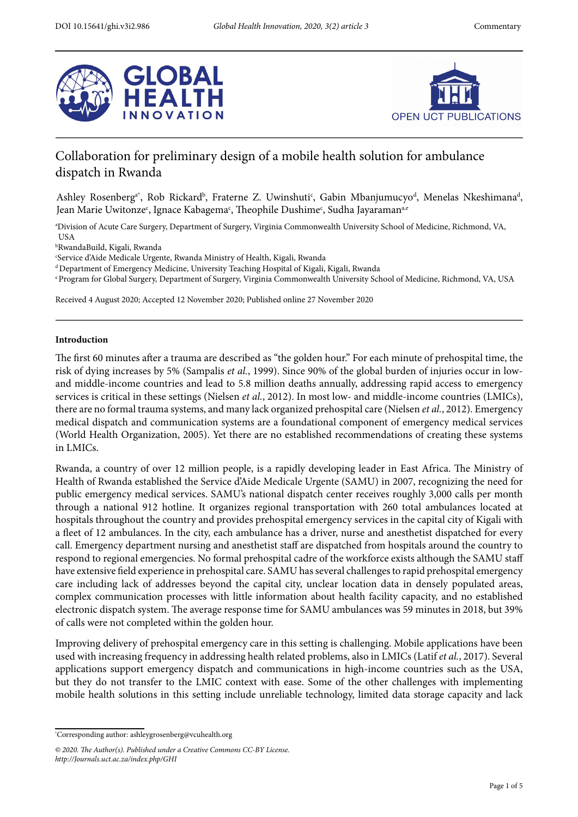



# Collaboration for preliminary design of a mobile health solution for ambulance dispatch in Rwanda

Ashley Rosenberg<sup>a\*</sup>, Rob Rickard<sup>b</sup>, Fraterne Z. Uwinshuti<sup>c</sup>, Gabin Mbanjumucyo<sup>d</sup>, Menelas Nkeshimana<sup>d</sup>, Jean Marie Uwitonze<sup>c</sup>, Ignace Kabagema<sup>c</sup>, Theophile Dushime<sup>c</sup>, Sudha Jayaraman<sup>a,e</sup>

a Division of Acute Care Surgery, Department of Surgery, Virginia Commonwealth University School of Medicine, Richmond, VA, USA

b RwandaBuild, Kigali, Rwanda

c Service d'Aide Medicale Urgente, Rwanda Ministry of Health, Kigali, Rwanda

d Department of Emergency Medicine, University Teaching Hospital of Kigali, Kigali, Rwanda

e Program for Global Surgery, Department of Surgery, Virginia Commonwealth University School of Medicine, Richmond, VA, USA

Received 4 August 2020; Accepted 12 November 2020; Published online 27 November 2020

## **Introduction**

The first 60 minutes after a trauma are described as "the golden hour." For each minute of prehospital time, the risk of dying increases by 5% [\(Sampalis](https://paperpile.com/c/SgX6Yx/oA4M) *[et al.](https://paperpile.com/c/SgX6Yx/oA4M)*[, 1999\).](https://paperpile.com/c/SgX6Yx/oA4M) Since 90% of the global burden of injuries occur in lowand middle-income countries and lead to 5.8 million deaths annually, addressing rapid access to emergency services is critical in these settings [\(Nielsen](https://paperpile.com/c/SgX6Yx/5pRq) *[et al.](https://paperpile.com/c/SgX6Yx/5pRq)*[, 2012\)](https://paperpile.com/c/SgX6Yx/5pRq). In most low- and middle-income countries (LMICs), there are no formal trauma systems, and many lack organized prehospital care [\(Nielsen](https://paperpile.com/c/SgX6Yx/5pRq) *[et al.](https://paperpile.com/c/SgX6Yx/5pRq)*[, 2012\).](https://paperpile.com/c/SgX6Yx/5pRq) Emergency medical dispatch and communication systems are a foundational component of emergency medical services [\(W](https://paperpile.com/c/SgX6Yx/hVLe)orld Health Organization, 2005). Yet there are no established recommendations of creating these systems in LMICs.

Rwanda, a country of over 12 million people, is a rapidly developing leader in East Africa. The Ministry of Health of Rwanda established the Service d'Aide Medicale Urgente (SAMU) in 2007, recognizing the need for public emergency medical services. SAMU's national dispatch center receives roughly 3,000 calls per month through a national 912 hotline. It organizes regional transportation with 260 total ambulances located at hospitals throughout the country and provides prehospital emergency services in the capital city of Kigali with a feet of 12 ambulances. In the city, each ambulance has a driver, nurse and anesthetist dispatched for every call. Emergency department nursing and anesthetist staf are dispatched from hospitals around the country to respond to regional emergencies. No formal prehospital cadre of the workforce exists although the SAMU staf have extensive feld experience in prehospital care. SAMU has several challenges to rapid prehospital emergency care including lack of addresses beyond the capital city, unclear location data in densely populated areas, complex communication processes with little information about health facility capacity, and no established electronic dispatch system. The average response time for SAMU ambulances was 59 minutes in 2018, but 39% of calls were not completed within the golden hour.

Improving delivery of prehospital emergency care in this setting is challenging. Mobile applications have been used with increasing frequency in addressing health related problems, also in LMICs [\(Latif](https://paperpile.com/c/SgX6Yx/QABa) *[et al.](https://paperpile.com/c/SgX6Yx/QABa)*[, 2017\)](https://paperpile.com/c/SgX6Yx/QABa). Several applications support emergency dispatch and communications in high-income countries such as the USA, but they do not transfer to the LMIC context with ease. Some of the other challenges with implementing mobile health solutions in this setting include unreliable technology, limited data storage capacity and lack

<sup>\*</sup> Corresponding author: [ashleygrosenberg@vcuhealth.org](mailto:ashleygrosenberg@vcuhealth.org)

*<sup>© 2020.</sup>* T*e Author(s). Published under a Creative Commons CC-BY License. http://Journals.uct.ac.za/index.php/GHI*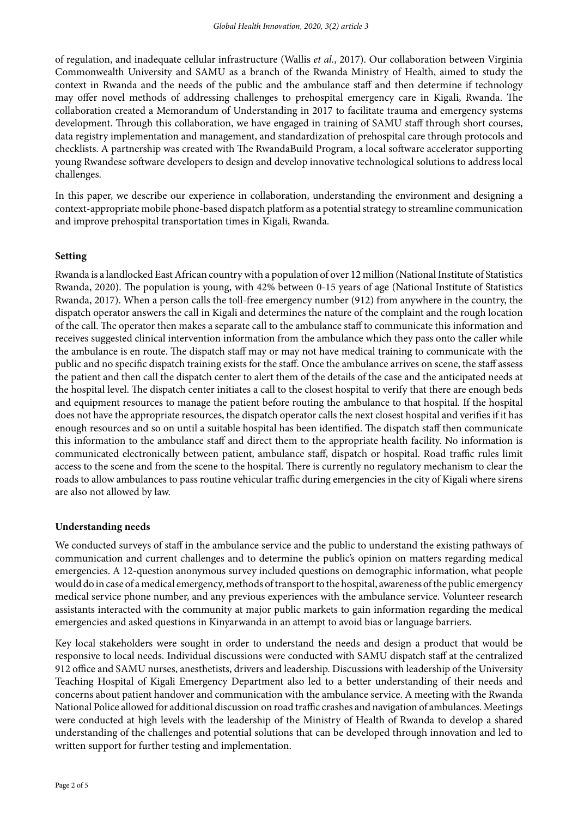of regulation, and inadequate cellular infrastructure [\(Wallis](https://paperpile.com/c/SgX6Yx/t1Ln) *[et al.](https://paperpile.com/c/SgX6Yx/t1Ln)*[, 2017\).](https://paperpile.com/c/SgX6Yx/t1Ln) Our collaboration between Virginia Commonwealth University and SAMU as a branch of the Rwanda Ministry of Health, aimed to study the context in Rwanda and the needs of the public and the ambulance staff and then determine if technology may offer novel methods of addressing challenges to prehospital emergency care in Kigali, Rwanda. The collaboration created a Memorandum of Understanding in 2017 to facilitate trauma and emergency systems development. Through this collaboration, we have engaged in training of SAMU staff through short courses, data registry implementation and management, and standardization of prehospital care through protocols and checklists. A partnership was created with The RwandaBuild Program, a local software accelerator supporting young Rwandese sofware developers to design and develop innovative technological solutions to address local challenges.

In this paper, we describe our experience in collaboration, understanding the environment and designing a context-appropriate mobile phone-based dispatch platform as a potential strategy to streamline communication and improve prehospital transportation times in Kigali, Rwanda.

# **Setting**

Rwanda is a landlocked East African country with a population of over 12 million (National Institute of Statistics Rwanda, 2020). The population is young, with 42% between 0-15 years of age (National Institute of Statistics Rwanda, 2017). When a person calls the toll-free emergency number (912) from anywhere in the country, the dispatch operator answers the call in Kigali and determines the nature of the complaint and the rough location of the call. The operator then makes a separate call to the ambulance staff to communicate this information and receives suggested clinical intervention information from the ambulance which they pass onto the caller while the ambulance is en route. The dispatch staff may or may not have medical training to communicate with the public and no specifc dispatch training exists for the staf. Once the ambulance arrives on scene, the staf assess the patient and then call the dispatch center to alert them of the details of the case and the anticipated needs at the hospital level. The dispatch center initiates a call to the closest hospital to verify that there are enough beds and equipment resources to manage the patient before routing the ambulance to that hospital. If the hospital does not have the appropriate resources, the dispatch operator calls the next closest hospital and verifes if it has enough resources and so on until a suitable hospital has been identified. The dispatch staff then communicate this information to the ambulance staf and direct them to the appropriate health facility. No information is communicated electronically between patient, ambulance staff, dispatch or hospital. Road traffic rules limit access to the scene and from the scene to the hospital. There is currently no regulatory mechanism to clear the roads to allow ambulances to pass routine vehicular traffic during emergencies in the city of Kigali where sirens are also not allowed by law.

## **Understanding needs**

We conducted surveys of staff in the ambulance service and the public to understand the existing pathways of communication and current challenges and to determine the public's opinion on matters regarding medical emergencies. A 12-question anonymous survey included questions on demographic information, what people would do in case of a medical emergency, methods of transport to the hospital, awareness of the public emergency medical service phone number, and any previous experiences with the ambulance service. Volunteer research assistants interacted with the community at major public markets to gain information regarding the medical emergencies and asked questions in Kinyarwanda in an attempt to avoid bias or language barriers.

Key local stakeholders were sought in order to understand the needs and design a product that would be responsive to local needs. Individual discussions were conducted with SAMU dispatch staf at the centralized 912 office and SAMU nurses, anesthetists, drivers and leadership. Discussions with leadership of the University Teaching Hospital of Kigali Emergency Department also led to a better understanding of their needs and concerns about patient handover and communication with the ambulance service. A meeting with the Rwanda National Police allowed for additional discussion on road traffic crashes and navigation of ambulances. Meetings were conducted at high levels with the leadership of the Ministry of Health of Rwanda to develop a shared understanding of the challenges and potential solutions that can be developed through innovation and led to written support for further testing and implementation.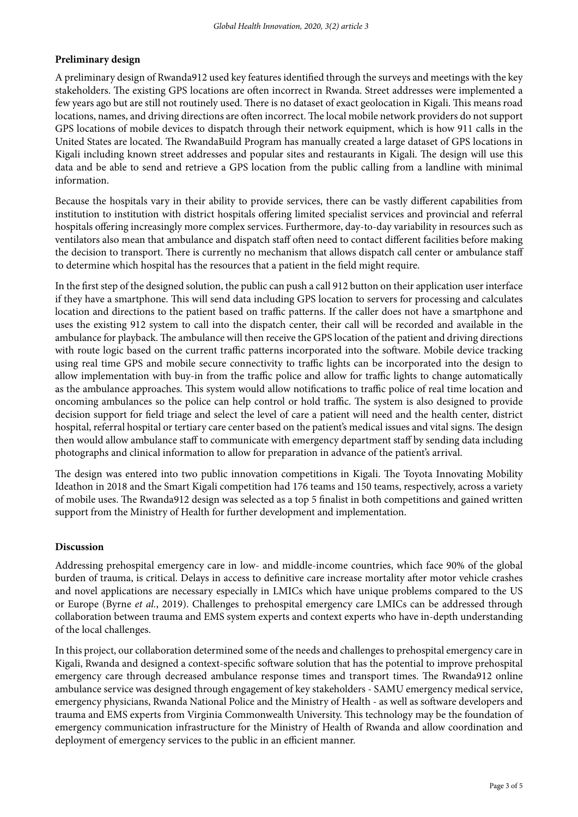# **Preliminary design**

A preliminary design of Rwanda912 used key features identifed through the surveys and meetings with the key stakeholders. The existing GPS locations are often incorrect in Rwanda. Street addresses were implemented a few years ago but are still not routinely used. There is no dataset of exact geolocation in Kigali. This means road locations, names, and driving directions are often incorrect. The local mobile network providers do not support GPS locations of mobile devices to dispatch through their network equipment, which is how 911 calls in the United States are located. The RwandaBuild Program has manually created a large dataset of GPS locations in Kigali including known street addresses and popular sites and restaurants in Kigali. The design will use this data and be able to send and retrieve a GPS location from the public calling from a landline with minimal information.

Because the hospitals vary in their ability to provide services, there can be vastly diferent capabilities from institution to institution with district hospitals ofering limited specialist services and provincial and referral hospitals ofering increasingly more complex services. Furthermore, day-to-day variability in resources such as ventilators also mean that ambulance and dispatch staff often need to contact different facilities before making the decision to transport. There is currently no mechanism that allows dispatch call center or ambulance staff to determine which hospital has the resources that a patient in the feld might require.

In the frst step of the designed solution, the public can push a call 912 button on their application user interface if they have a smartphone. Tis will send data including GPS location to servers for processing and calculates location and directions to the patient based on traffic patterns. If the caller does not have a smartphone and uses the existing 912 system to call into the dispatch center, their call will be recorded and available in the ambulance for playback. The ambulance will then receive the GPS location of the patient and driving directions with route logic based on the current traffic patterns incorporated into the software. Mobile device tracking using real time GPS and mobile secure connectivity to traffic lights can be incorporated into the design to allow implementation with buy-in from the traffic police and allow for traffic lights to change automatically as the ambulance approaches. This system would allow notifications to traffic police of real time location and oncoming ambulances so the police can help control or hold traffic. The system is also designed to provide decision support for feld triage and select the level of care a patient will need and the health center, district hospital, referral hospital or tertiary care center based on the patient's medical issues and vital signs. The design then would allow ambulance staf to communicate with emergency department staf by sending data including photographs and clinical information to allow for preparation in advance of the patient's arrival.

The design was entered into two public innovation competitions in Kigali. The Toyota Innovating Mobility Ideathon in 2018 and the Smart Kigali competition had 176 teams and 150 teams, respectively, across a variety of mobile uses. The Rwanda912 design was selected as a top 5 finalist in both competitions and gained written support from the Ministry of Health for further development and implementation.

# **Discussion**

Addressing prehospital emergency care in low- and middle-income countries, which face 90% of the global burden of trauma, is critical. Delays in access to definitive care increase mortality after motor vehicle crashes and novel applications are necessary especially in LMICs which have unique problems compared to the US or Europe [\(Byrne](https://paperpile.com/c/SgX6Yx/M8Bw) *[et al.](https://paperpile.com/c/SgX6Yx/M8Bw)*[, 2019\).](https://paperpile.com/c/SgX6Yx/M8Bw) Challenges to prehospital emergency care LMICs can be addressed through collaboration between trauma and EMS system experts and context experts who have in-depth understanding of the local challenges.

In this project, our collaboration determined some of the needs and challenges to prehospital emergency care in Kigali, Rwanda and designed a context-specifc sofware solution that has the potential to improve prehospital emergency care through decreased ambulance response times and transport times. The Rwanda912 online ambulance service was designed through engagement of key stakeholders - SAMU emergency medical service, emergency physicians, Rwanda National Police and the Ministry of Health - as well as sofware developers and trauma and EMS experts from Virginia Commonwealth University. This technology may be the foundation of emergency communication infrastructure for the Ministry of Health of Rwanda and allow coordination and deployment of emergency services to the public in an efficient manner.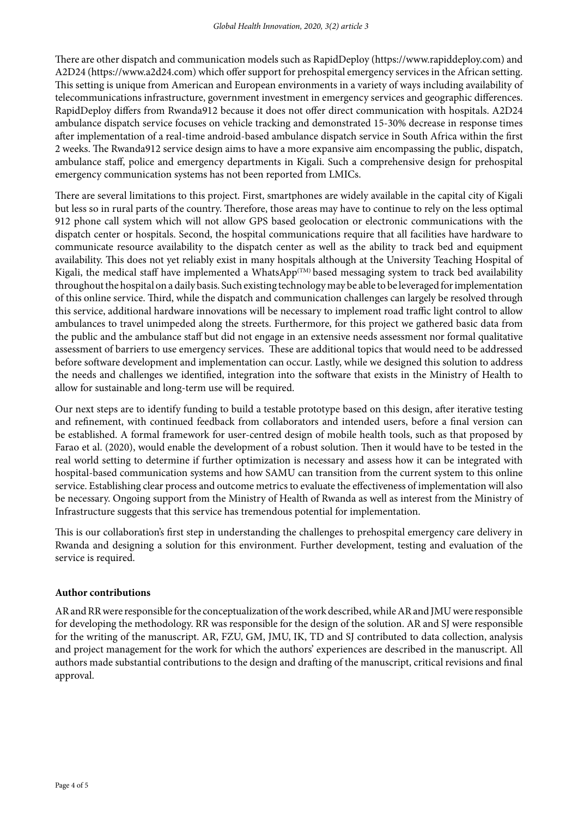There are other dispatch and communication models such as RapidDeploy (https://www.rapiddeploy.com) and A2D24 (https://www.a2d24.com) which ofer support for prehospital emergency services in the African setting. Tis setting is unique from American and European environments in a variety of ways including availability of telecommunications infrastructure, government investment in emergency services and geographic diferences. RapidDeploy differs from Rwanda912 because it does not offer direct communication with hospitals. A2D24 ambulance dispatch service focuses on vehicle tracking and demonstrated 15-30% decrease in response times afer implementation of a real-time android-based ambulance dispatch service in South Africa within the frst 2 weeks. The Rwanda912 service design aims to have a more expansive aim encompassing the public, dispatch, ambulance staf, police and emergency departments in Kigali. Such a comprehensive design for prehospital emergency communication systems has not been reported from LMICs.

There are several limitations to this project. First, smartphones are widely available in the capital city of Kigali but less so in rural parts of the country. Therefore, those areas may have to continue to rely on the less optimal 912 phone call system which will not allow GPS based geolocation or electronic communications with the dispatch center or hospitals. Second, the hospital communications require that all facilities have hardware to communicate resource availability to the dispatch center as well as the ability to track bed and equipment availability. This does not yet reliably exist in many hospitals although at the University Teaching Hospital of Kigali, the medical staff have implemented a WhatsApp<sup>(TM)</sup> based messaging system to track bed availability throughout the hospital on a daily basis. Such existing technology may be able to be leveraged for implementation of this online service. Third, while the dispatch and communication challenges can largely be resolved through this service, additional hardware innovations will be necessary to implement road traffic light control to allow ambulances to travel unimpeded along the streets. Furthermore, for this project we gathered basic data from the public and the ambulance staf but did not engage in an extensive needs assessment nor formal qualitative assessment of barriers to use emergency services. These are additional topics that would need to be addressed before sofware development and implementation can occur. Lastly, while we designed this solution to address the needs and challenges we identifed, integration into the sofware that exists in the Ministry of Health to allow for sustainable and long-term use will be required.

Our next steps are to identify funding to build a testable prototype based on this design, afer iterative testing and refnement, with continued feedback from collaborators and intended users, before a fnal version can be established. A formal framework for user-centred design of mobile health tools, such as that proposed by Farao et al. (2020), would enable the development of a robust solution. Then it would have to be tested in the real world setting to determine if further optimization is necessary and assess how it can be integrated with hospital-based communication systems and how SAMU can transition from the current system to this online service. Establishing clear process and outcome metrics to evaluate the effectiveness of implementation will also be necessary. Ongoing support from the Ministry of Health of Rwanda as well as interest from the Ministry of Infrastructure suggests that this service has tremendous potential for implementation.

Tis is our collaboration's frst step in understanding the challenges to prehospital emergency care delivery in Rwanda and designing a solution for this environment. Further development, testing and evaluation of the service is required.

# **Author contributions**

AR and RR were responsible for the conceptualization of the work described, while AR and JMU were responsible for developing the methodology. RR was responsible for the design of the solution. AR and SJ were responsible for the writing of the manuscript. AR, FZU, GM, JMU, IK, TD and SJ contributed to data collection, analysis and project management for the work for which the authors' experiences are described in the manuscript. All authors made substantial contributions to the design and drafing of the manuscript, critical revisions and fnal approval.